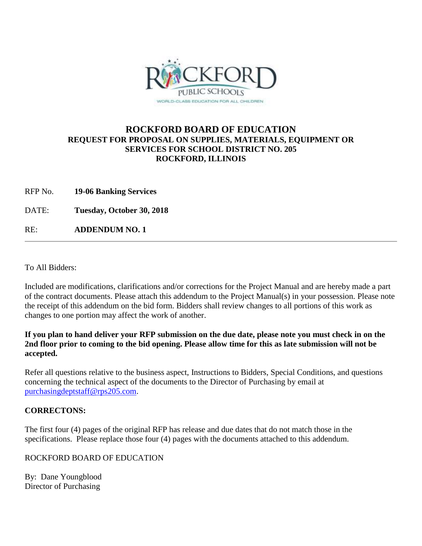

# **ROCKFORD BOARD OF EDUCATION REQUEST FOR PROPOSAL ON SUPPLIES, MATERIALS, EQUIPMENT OR SERVICES FOR SCHOOL DISTRICT NO. 205 ROCKFORD, ILLINOIS**

RFP No. **19-06 Banking Services**

DATE: **Tuesday, October 30, 2018**

RE: **ADDENDUM NO. 1**

To All Bidders:

Included are modifications, clarifications and/or corrections for the Project Manual and are hereby made a part of the contract documents. Please attach this addendum to the Project Manual(s) in your possession. Please note the receipt of this addendum on the bid form. Bidders shall review changes to all portions of this work as changes to one portion may affect the work of another.

### **If you plan to hand deliver your RFP submission on the due date, please note you must check in on the 2nd floor prior to coming to the bid opening. Please allow time for this as late submission will not be accepted.**

Refer all questions relative to the business aspect, Instructions to Bidders, Special Conditions, and questions concerning the technical aspect of the documents to the Director of Purchasing by email at [purchasingdeptstaff@rps205.com.](mailto:purchasingdeptstaff@rps205.com)

# **CORRECTONS:**

The first four (4) pages of the original RFP has release and due dates that do not match those in the specifications. Please replace those four (4) pages with the documents attached to this addendum.

# ROCKFORD BOARD OF EDUCATION

By: Dane Youngblood Director of Purchasing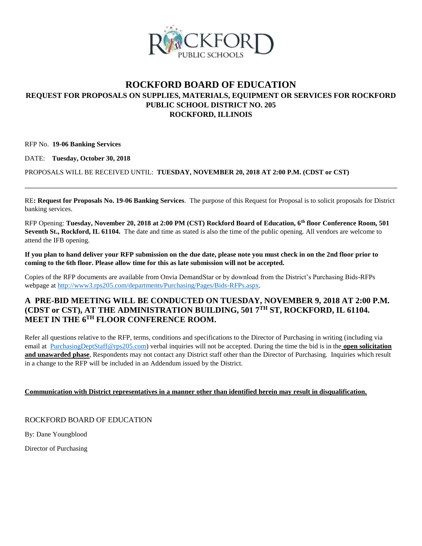

# **ROCKFORD BOARD OF EDUCATION REQUEST FOR PROPOSALS ON SUPPLIES, MATERIALS, EQUIPMENT OR SERVICES FOR ROCKFORD PUBLIC SCHOOL DISTRICT NO. 205 ROCKFORD, ILLINOIS**

RFP No. **19-06 Banking Services**

DATE: **Tuesday, October 30, 2018**

PROPOSALS WILL BE RECEIVED UNTIL: **TUESDAY, NOVEMBER 20, 2018 AT 2:00 P.M. (CDST or CST)**

RE**: Request for Proposals No. 19-06 Banking Services**. The purpose of this Request for Proposal is to solicit proposals for District banking services.

RFP Opening: **Tuesday, November 20, 2018 at 2:00 PM (CST) Rockford Board of Education, 6th floor Conference Room, 501 Seventh St., Rockford, IL 61104.** The date and time as stated is also the time of the public opening. All vendors are welcome to attend the IFB opening.

**If you plan to hand deliver your RFP submission on the due date, please note you must check in on the 2nd floor prior to coming to the 6th floor. Please allow time for this as late submission will not be accepted.**

Copies of the RFP documents are available from Onvia DemandStar or by download from the District's Purchasing Bids-RFPs webpage at [http://www3.rps205.com/departments/Purchasing/Pages/Bids-RFPs.aspx.](http://www3.rps205.com/departments/Purchasing/Pages/Bids-RFPs.aspx)

### **A PRE-BID MEETING WILL BE CONDUCTED ON TUESDAY, NOVEMBER 9, 2018 AT 2:00 P.M. (CDST or CST), AT THE ADMINISTRATION BUILDING, 501 7TH ST, ROCKFORD, IL 61104. MEET IN THE 6TH FLOOR CONFERENCE ROOM.**

Refer all questions relative to the RFP, terms, conditions and specifications to the Director of Purchasing in writing (including via email at [PurchasingDeptStaff@rps205.com\)](mailto:PurchasingDeptStaff@rps205.com) verbal inquiries will not be accepted. During the time the bid is in the **open solicitation and unawarded phase**, Respondents may not contact any District staff other than the Director of Purchasing. Inquiries which result in a change to the RFP will be included in an Addendum issued by the District.

### **Communication with District representatives in a manner other than identified herein may result in disqualification.**

ROCKFORD BOARD OF EDUCATION

By: Dane Youngblood

Director of Purchasing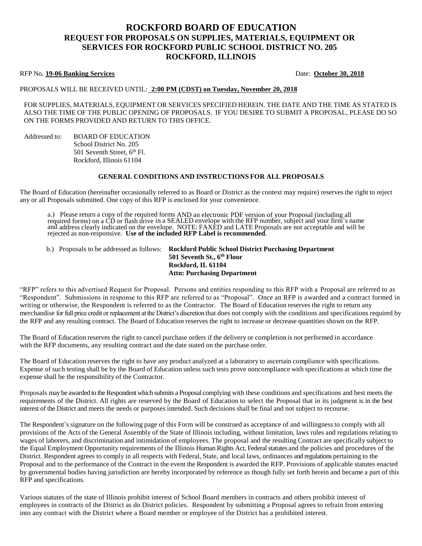# **ROCKFORD BOARD OF EDUCATION REQUEST FOR PROPOSALS ON SUPPLIES, MATERIALS, EQUIPMENT OR SERVICES FOR ROCKFORD PUBLIC SCHOOL DISTRICT NO. 205 ROCKFORD, ILLINOIS**

#### RFP No. 19-06 Banking Services **Date: October 30, 2018**

#### PROPOSALS WILL BE RECEIVED UNTIL: **2:00 PM (CDST) on Tuesday, November 20, 2018**

FOR SUPPLIES, MATERIALS, EQUIPMENT OR SERVICES SPECIFIED HEREIN. THE DATE AND THE TIME AS STATED IS ALSO THE TIME OF THE PUBLIC OPENING OF PROPOSALS. IF YOU DESIRE TO SUBMIT A PROPOSAL, PLEASE DO SO ON THE FORMS PROVIDED AND RETURN TO THIS OFFICE.

Addressed to: BOARD OF EDUCATION School District No. 205 501 Seventh Street, 6<sup>th</sup> Fl. Rockford, Illinois 61104

#### **GENERAL CONDITIONS AND INSTRUCTIONS FOR ALL PROPOSALS**

The Board of Education (hereinafter occasionally referred to as Board or District as the context may require) reserves the right to reject any or all Proposals submitted. One copy of this RFP is enclosed for your convenience.

a.) Please return a copy of the required forms AND an electronic PDF version of your Proposal (including all required forms) on a CD or flash drive in a SEALED envelope with the RFP number, subject and your firm's name and address clearly indicated on the envelope. NOTE: FAXED and LATE Proposals are not acceptable and will be rejected as non-responsive. **Use of the included RFP Label is recommended**.

b.) Proposals to be addressed as follows: **Rockford Public School District Purchasing Department 501 Seventh St., 6th Floor Rockford, IL 61104 Attn: Purchasing Department**

"RFP" refers to this advertised Request for Proposal. Persons and entities responding to this RFP with a Proposal are referred to as "Respondent". Submissions in response to this RFP are referred to as "Proposal". Once an RFP is awarded and a contract formed in writing or otherwise, the Respondent is referred to as the Contractor. The Board of Education reserves the right to return any merchandise for full price credit or replacement at the District's discretion that does not comply with the conditions and specifications required by the RFP and any resulting contract. The Board of Education reserves the right to increase or decrease quantities shown on the RFP.

The Board of Education reserves the right to cancel purchase orders if the delivery or completion is not performed in accordance with the RFP documents, any resulting contract and the date stated on the purchase order.

The Board of Education reserves the right to have any product analyzed at a laboratory to ascertain compliance with specifications. Expense of such testing shall be by the Board of Education unless such tests prove noncompliance with specifications at which time the expense shall be the responsibility of the Contractor.

Proposals may be awarded to the Respondent which submits a Proposal complying with these conditions and specifications and best meets the requirements of the District. All rights are reserved by the Board of Education to select the Proposal that in its judgment is in the best interest of the District and meets the needs or purposes intended. Such decisions shall be final and not subject to recourse.

The Respondent's signature on the following page of this Form will be construed as acceptance of and willingness to comply with all provisions of the Acts of the General Assembly of the State of Illinois including, without limitation, laws rules and regulations relating to wages of laborers, and discrimination and intimidation of employees. The proposal and the resulting Contract are specifically subject to the Equal Employment Opportunity requirements of the Illinois Human Rights Act, Federal statutes and the policies and procedures of the District. Respondent agrees to comply in all respects with Federal, State, and local laws, ordinances and regulations pertaining to the Proposal and to the performance of the Contract in the event the Respondent is awarded the RFP. Provisions of applicable statutes enacted by governmental bodies having jurisdiction are hereby incorporated by reference as though fully set forth herein and became a part of this RFP and specifications.

Various statutes of the state of Illinois prohibit interest of School Board members in contracts and others prohibit interest of employees in contracts of the District as do District policies. Respondent by submitting a Proposal agrees to refrain from entering into any contract with the District where a Board member or employee of the District has a prohibited interest.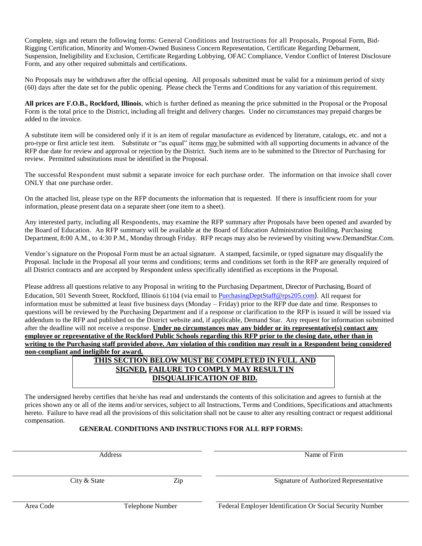Complete, sign and return the following forms: General Conditions and Instructions for all Proposals, Proposal Form, Bid-Rigging Certification, Minority and Women-Owned Business Concern Representation, Certificate Regarding Debarment, Suspension, Ineligibility and Exclusion, Certificate Regarding Lobbying, OFAC Compliance, Vendor Conflict of Interest Disclosure Form, and any other required submittals and certifications.

No Proposals may be withdrawn after the official opening. All proposals submitted must be valid for a minimum period of sixty (60) days after the date set for the public opening. Please check the Terms and Conditions for any variation of this requirement.

**All prices are F.O.B., Rockford, Illinois**, which is further defined as meaning the price submitted in the Proposal or the Proposal Form is the total price to the District, including all freight and delivery charges. Under no circumstances may prepaid charges be added to the invoice.

A substitute item will be considered only if it is an item of regular manufacture as evidenced by literature, catalogs, etc. and not a pro-type or first article test item. Substitute or "as equal" items may be submitted with all supporting documents in advance of the RFP due date for review and approval or rejection by the District. Such items are to be submitted to the Director of Purchasing for review. Permitted substitutions must be identified in the Proposal.

The successful Respondent must submit a separate invoice for each purchase order. The information on that invoice shall cover ONLY that one purchase order.

On the attached list, please type on the RFP documents the information that is requested. If there is insufficient room for your information, please present data on a separate sheet (one item to a sheet).

Any interested party, including all Respondents, may examine the RFP summary after Proposals have been opened and awarded by the Board of Education. An RFP summary will be available at the Board of Education Administration Building, Purchasing Department, 8:00 A.M., to 4:30 P.M., Monday through Friday. RFP recaps may also be reviewed by visiting [www.DemandStar.Com.](http://www.demandstar.com/)

Vendor's signature on the Proposal Form must be an actual signature. A stamped, facsimile, or typed signature may disqualify the Proposal. Include in the Proposal all your terms and conditions; terms and conditions set forth in the RFP are generally required of all District contracts and are accepted by Respondent unless specifically identified as exceptions in the Proposal.

Please address all questions relative to any Proposal in writing to the Purchasing Department, Director of Purchasing, Board of Education, 501 Seventh Street, Rockford, Illinois 61104 (via email to [PurchasingDeptStaff@rps205.com](mailto:PurchasingDeptStaff@rps205.com)). All request for information must be submitted at least five business days (Monday – Friday) prior to the RFP due date and time. Responses to questions will be reviewed by the Purchasing Department and if a response or clarification to the RFP is issued it will be issued via addendum to the RFP and published on the District website and, if applicable, Demand Star. Any request for information submitted after the deadline will not receive a response. **Under no circumstances may any bidder or its representative(s) contact any employee or representative of the Rockford Public Schools regarding this RFP prior to the closing date, other than in writing to the Purchasing staff provided above. Any violation of this condition may result in a Respondent being considered non-compliant and ineligible for award.**

# **THIS SECTION BELOW MUST BE COMPLETED IN FULL AND SIGNED, FAILURE TO COMPLY MAY RESULT IN DISQUALIFICATION OF BID.**

The undersigned hereby certifies that he/she has read and understands the contents of this solicitation and agrees to furnish at the prices shown any or all of the items and/or services, subject to all Instructions, Terms and Conditions, Specifications and attachments hereto. Failure to have read all the provisions of this solicitation shall not be cause to alter any resulting contract or request additional compensation.

### **GENERAL CONDITIONS AND INSTRUCTIONS FOR ALL RFP FORMS:**

Address Name of Firm

City & State  $\qquad \qquad$  Zip Signature of Authorized Representative

Area Code Telephone Number Federal Employer Identification Or Social Security Number